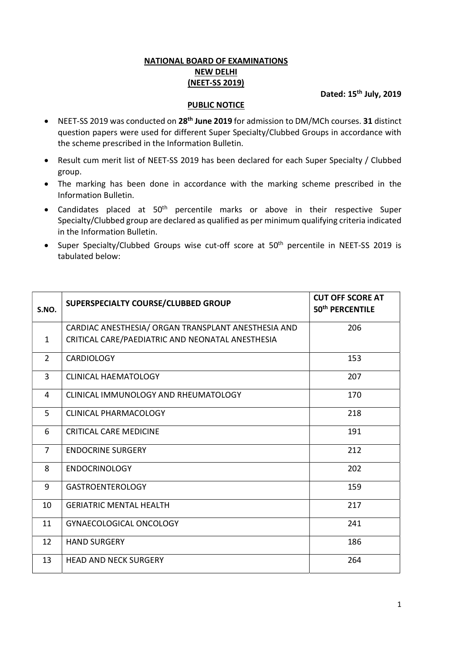## NATIONAL BOARD OF EXAMINATIONS NEW DELHI (NEET-SS 2019)

Dated: 15<sup>th</sup> July, 2019

## PUBLIC NOTICE

- NEET-SS 2019 was conducted on 28<sup>th</sup> June 2019 for admission to DM/MCh courses. 31 distinct question papers were used for different Super Specialty/Clubbed Groups in accordance with the scheme prescribed in the Information Bulletin.
- Result cum merit list of NEET-SS 2019 has been declared for each Super Specialty / Clubbed group.
- The marking has been done in accordance with the marking scheme prescribed in the Information Bulletin.
- Candidates placed at 50<sup>th</sup> percentile marks or above in their respective Super Specialty/Clubbed group are declared as qualified as per minimum qualifying criteria indicated in the Information Bulletin.
- Super Specialty/Clubbed Groups wise cut-off score at 50<sup>th</sup> percentile in NEET-SS 2019 is tabulated below:

| S.NO.          | SUPERSPECIALTY COURSE/CLUBBED GROUP                 | <b>CUT OFF SCORE AT</b><br>50 <sup>th</sup> PERCENTILE |
|----------------|-----------------------------------------------------|--------------------------------------------------------|
|                | CARDIAC ANESTHESIA/ ORGAN TRANSPLANT ANESTHESIA AND | 206                                                    |
| $\mathbf{1}$   | CRITICAL CARE/PAEDIATRIC AND NEONATAL ANESTHESIA    |                                                        |
| $\overline{2}$ | <b>CARDIOLOGY</b>                                   | 153                                                    |
| $\overline{3}$ | <b>CLINICAL HAEMATOLOGY</b>                         | 207                                                    |
| 4              | CLINICAL IMMUNOLOGY AND RHEUMATOLOGY                | 170                                                    |
| 5              | <b>CLINICAL PHARMACOLOGY</b>                        | 218                                                    |
| 6              | <b>CRITICAL CARE MEDICINE</b>                       | 191                                                    |
| $\overline{7}$ | <b>ENDOCRINE SURGERY</b>                            | 212                                                    |
| 8              | <b>ENDOCRINOLOGY</b>                                | 202                                                    |
| 9              | <b>GASTROENTEROLOGY</b>                             | 159                                                    |
| 10             | <b>GERIATRIC MENTAL HEALTH</b>                      | 217                                                    |
| 11             | GYNAECOLOGICAL ONCOLOGY                             | 241                                                    |
| 12             | <b>HAND SURGERY</b>                                 | 186                                                    |
| 13             | <b>HEAD AND NECK SURGERY</b>                        | 264                                                    |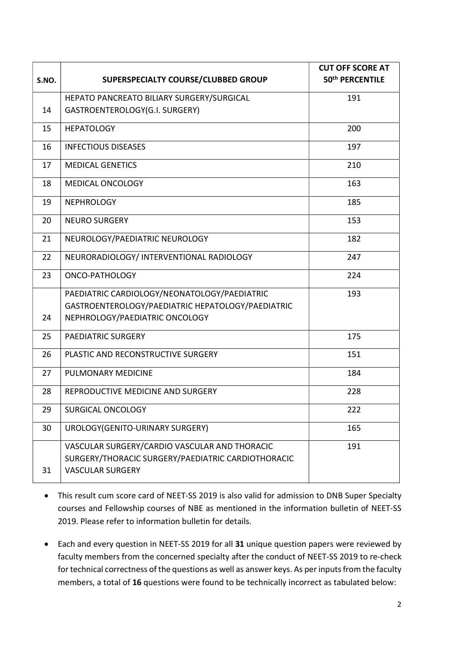| S.NO. | SUPERSPECIALTY COURSE/CLUBBED GROUP                | <b>CUT OFF SCORE AT</b><br>50 <sup>th</sup> PERCENTILE |
|-------|----------------------------------------------------|--------------------------------------------------------|
|       |                                                    |                                                        |
|       | HEPATO PANCREATO BILIARY SURGERY/SURGICAL          | 191                                                    |
| 14    | GASTROENTEROLOGY(G.I. SURGERY)                     |                                                        |
| 15    | <b>HEPATOLOGY</b>                                  | 200                                                    |
| 16    | <b>INFECTIOUS DISEASES</b>                         | 197                                                    |
| 17    | <b>MEDICAL GENETICS</b>                            | 210                                                    |
| 18    | MEDICAL ONCOLOGY                                   | 163                                                    |
| 19    | <b>NEPHROLOGY</b>                                  | 185                                                    |
| 20    | <b>NEURO SURGERY</b>                               | 153                                                    |
| 21    | NEUROLOGY/PAEDIATRIC NEUROLOGY                     | 182                                                    |
| 22    | NEURORADIOLOGY/ INTERVENTIONAL RADIOLOGY           | 247                                                    |
| 23    | ONCO-PATHOLOGY                                     | 224                                                    |
|       | PAEDIATRIC CARDIOLOGY/NEONATOLOGY/PAEDIATRIC       | 193                                                    |
|       | GASTROENTEROLOGY/PAEDIATRIC HEPATOLOGY/PAEDIATRIC  |                                                        |
| 24    | NEPHROLOGY/PAEDIATRIC ONCOLOGY                     |                                                        |
| 25    | <b>PAEDIATRIC SURGERY</b>                          | 175                                                    |
| 26    | PLASTIC AND RECONSTRUCTIVE SURGERY                 | 151                                                    |
| 27    | PULMONARY MEDICINE                                 | 184                                                    |
| 28    | REPRODUCTIVE MEDICINE AND SURGERY                  | 228                                                    |
| 29    | SURGICAL ONCOLOGY                                  | 222                                                    |
| 30    | UROLOGY(GENITO-URINARY SURGERY)                    | 165                                                    |
|       | VASCULAR SURGERY/CARDIO VASCULAR AND THORACIC      | 191                                                    |
|       | SURGERY/THORACIC SURGERY/PAEDIATRIC CARDIOTHORACIC |                                                        |
| 31    | <b>VASCULAR SURGERY</b>                            |                                                        |

- This result cum score card of NEET-SS 2019 is also valid for admission to DNB Super Specialty courses and Fellowship courses of NBE as mentioned in the information bulletin of NEET-SS 2019. Please refer to information bulletin for details.
- Each and every question in NEET-SS 2019 for all 31 unique question papers were reviewed by faculty members from the concerned specialty after the conduct of NEET-SS 2019 to re-check for technical correctness of the questions as well as answer keys. As per inputs from the faculty members, a total of 16 questions were found to be technically incorrect as tabulated below: